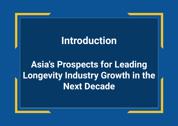# **Introduction**

**Asia's Prospects for Leading Longevity Industry Growth in the Next Decade**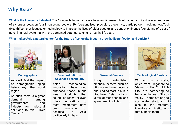# **Why Asia?**

**What is the Longevity Industry?** The "Longevity Industry" refers to scientific research into aging and its diseases and a set of synergies between four intersecting sectors: P4 (personalized, precision, preventive, participatory) medicine, AgeTech (HealthTech that focuses on technology to improve the lives of older people), and Longevity finance (consisting of a set of novel financial systems) with the combined potential to extend healthy life span.

## **What makes Asia a natural center for the future of Longevity Industry growth, diversification and activity?**



## **Demographics**

Asia will feel the impact of demographic aging before any other world region.

As such, there is a great demand among governments and industry for industrial solutions to this "Silver Tsunami".



**Broad Adoption of Advanced Technology**

Asian technological innovations have long outpaced those in the West. Products that sound like recent or even future innovations to most Westerners have been available for decades in Asia, particularly in Japan.



### **Financial Centers**

Long established financial centers such as Singapore have become the leading startup hub in Southeast Asia thanks to a mix of ready capital and government policies.



#### **Technological Centers**

With so much at stake, cities from Singapore to Vietnam's Ho Chi Minh City are competing to become the next Silicon Valley — home not only to successful startups but also to the mentors, investors and institutions that support them.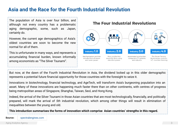# **Asia and the Race for the Fourth Industrial Revolution**

The population of Asia is over four billion, and although not every country has a problematic aging demographic, some, such as Japan, certainly do.

However, the current age demographics of Asia's oldest countries are soon to become the new normal for all of them.

This is unfortunate in many ways, and represents a accumulating financial burden, known informally among economists as "The Silver Tsunami".

## **The Four Industrial Revolutions**



But now, at the dawn of the Fourth Industrial Revolution in Asia, the dividend locked up in this older demographic represents a potential future financial opportunity for those countries with the foresight to seize it.

Innovations in biotechnology, financial technology, and AgeTech, will transform Asia's burgeoning population into an asset. Many of these innovations are happening much faster there than on other continents, with centres of progress being metropolitan areas of Singapore, Shanghai, Taiwan, Seol, and Hong Kong.

Indeed, the arrival of the Silver Tsunami in those Asian countries that are most technologically, financially, and politically prepared, will mark the arrival of *5th* industrial revolution, which among other things will result in elimination of inequalities between the young and old.

**This introduction summarises the forms of innovation which comprise Asian countries' strengths in this regard.**

**Source:** spectralengines.com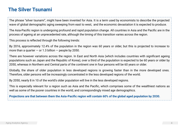# **The Silver Tsunami**

The phrase "silver tsunami", might have been invented for Asia. It is a term used by economists to describe the projected wave of global demographic aging sweeping from east to west, and the economic devastation it is expected to produce.

The Asia-Pacific region is undergoing profound and rapid population change. All countries in Asia and the Pacific are in the process of ageing at an unprecedented rate, although the timing of this transition varies across the region.

This process is reflected through the following trends:

By 2016, approximately 12.4% of the population in the region was 60 years or older, but this is projected to increase to more than a quarter  $-$  or 1.3 billion  $-$  people by 2050.

There are however variations across the region. In East and North Asia (which includes countries with significant ageing populations such as Japan and the Republic of Korea), over a third of the population is expected to be 60 years or older by 2050, whereas in Northern and Central parts of the continent one in four persons will be 60 years or older.

Globally, the share of older population in less developed regions is growing faster than in the more developed ones. Therefore, older persons will be increasingly concentrated in the less developed regions of the world.

By 2050, nearly 8 in 10 of the world's older population will live in the less developed regions.

This is especially relevant for a region such as Asia and the Pacific, which comprises some of the wealthiest nations as well as some of the poorer countries in the world, and correspondingly mixed age demographics.

**Projections are that between them the Asia-Pacific region will contain 60% of the global aged population by 2030.**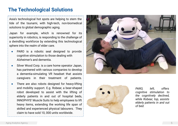## **The Technological Solutions**

Asia's technological hot spots are helping to stem the tide of the tsunami, with high-tech, non-biomedical solutions to global demographic aging.

Japan for example, which is renowned for its superiority in robotics, is responding to the challenge of a dwindling workforce by extending this technological sphere into the realm of elder care.

- PARO is a robotic seal designed to provide cognitive stimulation to those dealing with Alzheimer's and dementia.
- Silver Wood Corp. is a care home operator Japan, has partnered with various companies to develop a dementia-simulating VR headset that assists caregivers in their treatment of patients.
- There are also robots designed for heavy-lifting and mobility support. E.g. Robear, a bear-shaped robot developed to assist with the lifting of elderly patients in and out of hospital beds, INNOPHYS' Muscle Suits to help employees to lift heavy items, extending the working life span of skilled and experienced physical labourers. They claim to have sold 10, 000 units worldwide.





*PARO, left, offers cognitive stimulation to the cognitively declined, while Robear, top, assists elderly patients in and out of bed.*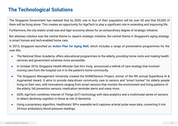# **The Technological Solutions**

The Singapore Government has realised that by 2030, one in four of their population will be over 65 and that 92,000 of them will be living alone. This creates an opportunity for AgeTech to play a significant role in extending and improving life.

Furthermore, the city-state's small size and tiger economy allows for an extraordinary degree of strategic initiative.

But whereas robotics was the central theme to Japan's strategic initiative, the central theme in Singapore's aging strategy is smart homes and tech-enabled home care.

In 2015, Singapore launched an **Action Plan for Aging Well**, which includes a range of preventative programmes for the over-40s.

- The National Silver Academy, offers educational programmes to the elderly, providing home visits and making health services and government schemes more accessible.
- In October 2016, Singapore Health Minister Gan Kim Yong announced a rethink of care strategy that involved moving care from the hospital out in to the patient's home community.
- The Singapore Management University created the SHINESeniors Project, winner of the 9th annual SuperNova AI & Augmented Award. It aims to provide data-driven community care to seniors and "smart homes" for elderly people living on their own, with innovations ranging from smart sensors that monitor the environment and living patterns of the elderly, fall prevention sensors, medication reminder alerts and many more.
- GERI, AgeTech combines Internet of Things (IoT) technology with data analytics and a multimodal series of sensors to detect declining cognition in those at risk of dementia.
- Using a proprietary algorithm, Healthstats' BPro wearable tech captures arterial pulse wave data, converting it into 24-hour ambulatory blood pressure readings.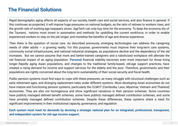# **The Financial Solutions**

Rapid demographic aging affects all aspects of our society, health care and social services, and also finance in general. If this continues as projected, it will impose huge pressures on national budgets, as the ratio of retirees to workers rises, and the growth rate of working-age taxpayers slows. AgeTech can only buy time for the economy. To keep the economy dry of the Tsunami, nations must invest in automation and methods for upskilling the current workforce, in order to enable experienced workers to stay on the job longer, and monetise the benefits of age and diverse experience.

Then there is the question of social care. As described previously, emerging technologies can address the caregiving needs of older adults — a growing reality. For this purpose, governments must improve their long-term care systems, community social infrastructures, and national industrial strategies, as populations decline and the dependency of the old increases. But we cannot assume that more and better-trained caregivers and a roboticized workplace will alleviate the net financial impact of an aging population. **Personal** financial stability becomes even more important for those living longer. Rapidly aging Asian populations, and changes to the traditional family-based, old-age support practices, have created a rising demand for income and support services for the elderly and the poor. Therefore, governments and their populations are rightly concerned about the long-term sustainability of their social security and fiscal health.

Public pension systems must find ways to cope with these pressures, as many struggle with structural challenges such as early retirement ages, and diverging replacement rates under different systems. Most developing Asian economies do not have mature and functioning pension systems, particularly the CLMVT (Cambodia, Laos, Myanmar, Vietnam and Thailand) economies. They are also not homogenous and show significant variations in their pension schemes. Some countries have publicly managed defined benefit schemes, some have publicly managed defined contribution schemes, and some have privately managed defined contribution schemes. Despite these differences, these systems share a need for significant improvements in their institutional capacity, governance, and regulation.

**Each system must meet its demands by devising a strategic national plan for an integrated, professional, transparent, and independent system for old-age income support.**

Aging Analytics Agency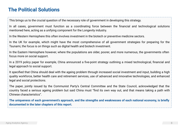# **The Political Solutions**

This brings us to the crucial question of the necessary role of government in developing this strategy.

In all cases, government must function as a coordinating force between the financial and technological solutions mentioned here, acting as a unifying component for the Longevity industry.

In the Western Hemisphere this often involves investment in the biotech or preventive medicine sectors.

In the UK for example, which might have the most comprehensive of all government strategies for preparing for the Tsunami, the focus is on things such as digital health and biotech investment.

In the Eastern Hemisphere however, where the populations are older, poorer, and more numerous, the governments often focus more on social support.

In a 2019 policy paper for example, China announced a five-point strategy outlining a mixed technological, financial and legal approach to social support.

It specified that China should deal with the ageing problem through increased social investment and input, building a high quality workforce, better health care and retirement services, use of advanced and innovative technologies, and enhanced legal and social protections.

The paper, jointly issued by the Communist Party's Central Committee and the State Council, acknowledged that the country faced a serious ageing problem but said China must "find its own way out, and that means taking a path with Chinese characteristics".

**The uniqueness of each government's approach, and the strengths and weaknesses of each national economy, is briefly documented in the later chapters of this report.**